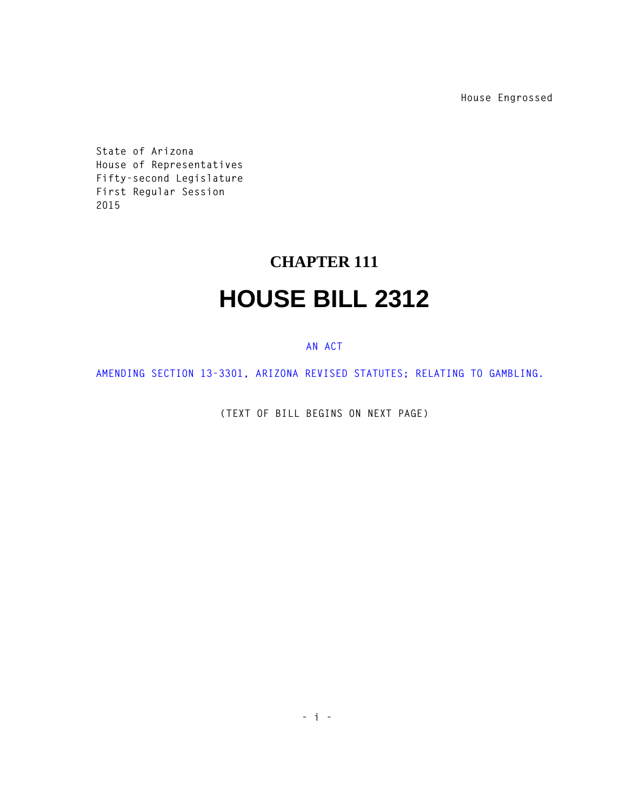**House Engrossed**

**State of Arizona House of Representatives Fifty-second Legislature First Regular Session 2015** 

## **CHAPTER 111 HOUSE BILL 2312**

## **AN ACT**

**AMENDING SECTION 13-3301, ARIZONA REVISED STATUTES; RELATING TO GAMBLING.** 

**(TEXT OF BILL BEGINS ON NEXT PAGE)**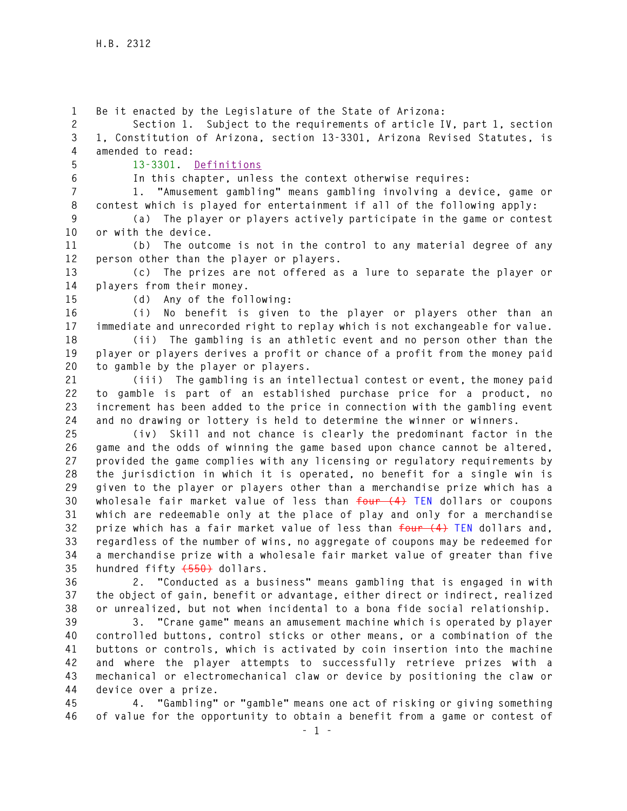**1 Be it enacted by the Legislature of the State of Arizona: 2 Section 1. Subject to the requirements of article IV, part 1, section 3 1, Constitution of Arizona, section 13-3301, Arizona Revised Statutes, is 4 amended to read: 5 13-3301. Definitions 6 In this chapter, unless the context otherwise requires: 7 1. "Amusement gambling" means gambling involving a device, game or 8 contest which is played for entertainment if all of the following apply: 9 (a) The player or players actively participate in the game or contest 10 or with the device. 11 (b) The outcome is not in the control to any material degree of any 12 person other than the player or players. 13 (c) The prizes are not offered as a lure to separate the player or 14 players from their money. 15 (d) Any of the following: 16 (i) No benefit is given to the player or players other than an 17 immediate and unrecorded right to replay which is not exchangeable for value. 18 (ii) The gambling is an athletic event and no person other than the 19 player or players derives a profit or chance of a profit from the money paid 20 to gamble by the player or players. 21 (iii) The gambling is an intellectual contest or event, the money paid 22 to gamble is part of an established purchase price for a product, no 23 increment has been added to the price in connection with the gambling event 24 and no drawing or lottery is held to determine the winner or winners. 25 (iv) Skill and not chance is clearly the predominant factor in the 26 game and the odds of winning the game based upon chance cannot be altered, 27 provided the game complies with any licensing or regulatory requirements by 28 the jurisdiction in which it is operated, no benefit for a single win is 29 given to the player or players other than a merchandise prize which has a 30 wholesale fair market value of less than four (4) TEN dollars or coupons 31 which are redeemable only at the place of play and only for a merchandise 32 prize which has a fair market value of less than four (4) TEN dollars and, 33 regardless of the number of wins, no aggregate of coupons may be redeemed for 34 a merchandise prize with a wholesale fair market value of greater than five 35 hundred fifty (550) dollars. 36 2. "Conducted as a business" means gambling that is engaged in with 37 the object of gain, benefit or advantage, either direct or indirect, realized 38 or unrealized, but not when incidental to a bona fide social relationship. 39 3. "Crane game" means an amusement machine which is operated by player 40 controlled buttons, control sticks or other means, or a combination of the 41 buttons or controls, which is activated by coin insertion into the machine 42 and where the player attempts to successfully retrieve prizes with a 43 mechanical or electromechanical claw or device by positioning the claw or 44 device over a prize.** 

**45 4. "Gambling" or "gamble" means one act of risking or giving something 46 of value for the opportunity to obtain a benefit from a game or contest of**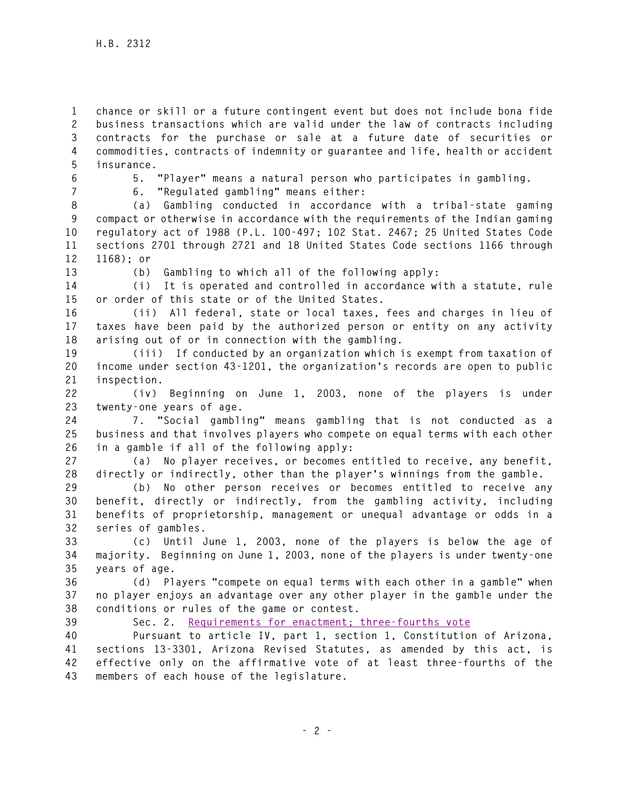**1 chance or skill or a future contingent event but does not include bona fide 2 business transactions which are valid under the law of contracts including 3 contracts for the purchase or sale at a future date of securities or 4 commodities, contracts of indemnity or guarantee and life, health or accident 5 insurance.** 

**6 5. "Player" means a natural person who participates in gambling.** 

**7 6. "Regulated gambling" means either:** 

**8 (a) Gambling conducted in accordance with a tribal-state gaming 9 compact or otherwise in accordance with the requirements of the Indian gaming 10 regulatory act of 1988 (P.L. 100-497; 102 Stat. 2467; 25 United States Code 11 sections 2701 through 2721 and 18 United States Code sections 1166 through 12 1168); or** 

**13 (b) Gambling to which all of the following apply:** 

**14 (i) It is operated and controlled in accordance with a statute, rule 15 or order of this state or of the United States.** 

**16 (ii) All federal, state or local taxes, fees and charges in lieu of 17 taxes have been paid by the authorized person or entity on any activity 18 arising out of or in connection with the gambling.** 

**19 (iii) If conducted by an organization which is exempt from taxation of 20 income under section 43-1201, the organization's records are open to public 21 inspection.** 

**22 (iv) Beginning on June 1, 2003, none of the players is under 23 twenty-one years of age.** 

**24 7. "Social gambling" means gambling that is not conducted as a 25 business and that involves players who compete on equal terms with each other 26 in a gamble if all of the following apply:** 

**27 (a) No player receives, or becomes entitled to receive, any benefit, 28 directly or indirectly, other than the player's winnings from the gamble.** 

**29 (b) No other person receives or becomes entitled to receive any 30 benefit, directly or indirectly, from the gambling activity, including 31 benefits of proprietorship, management or unequal advantage or odds in a 32 series of gambles.** 

**33 (c) Until June 1, 2003, none of the players is below the age of 34 majority. Beginning on June 1, 2003, none of the players is under twenty-one 35 years of age.** 

**36 (d) Players "compete on equal terms with each other in a gamble" when 37 no player enjoys an advantage over any other player in the gamble under the 38 conditions or rules of the game or contest.** 

**39 Sec. 2. Requirements for enactment; three-fourths vote**

**40 Pursuant to article IV, part 1, section 1, Constitution of Arizona, 41 sections 13-3301, Arizona Revised Statutes, as amended by this act, is 42 effective only on the affirmative vote of at least three-fourths of the 43 members of each house of the legislature.**